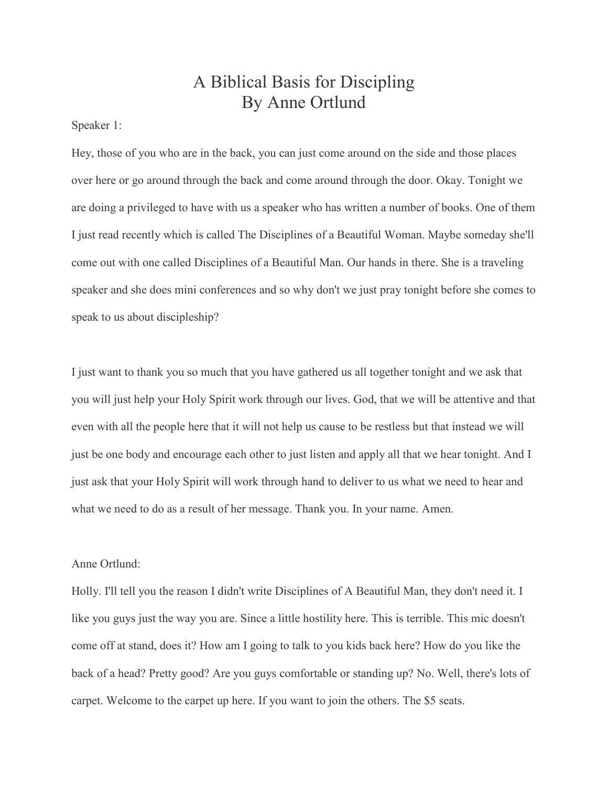## A Biblical Basis for Discipling By Anne Ortlund

Speaker 1:

Hey, those of you who are in the back, you can just come around on the side and those places over here or go around through the back and come around through the door. Okay. Tonight we are doing a privileged to have with us a speaker who has written a number of books. One of them I just read recently which is called The Disciplines of a Beautiful Woman. Maybe someday she'll come out with one called Disciplines of a Beautiful Man. Our hands in there. She is a traveling speaker and she does mini conferences and so why don't we just pray tonight before she comes to speak to us about discipleship?

I just want to thank you so much that you have gathered us all together tonight and we ask that you will just help your Holy Spirit work through our lives. God, that we will be attentive and that even with all the people here that it will not help us cause to be restless but that instead we will just be one body and encourage each other to just listen and apply all that we hear tonight. And I just ask that your Holy Spirit will work through hand to deliver to us what we need to hear and what we need to do as a result of her message. Thank you. In your name. Amen.

## Anne Ortlund:

Holly. I'll tell you the reason I didn't write Disciplines of A Beautiful Man, they don't need it. I like you guys just the way you are. Since a little hostility here. This is terrible. This mic doesn't come off at stand, does it? How am I going to talk to you kids back here? How do you like the back of a head? Pretty good? Are you guys comfortable or standing up? No. Well, there's lots of carpet. Welcome to the carpet up here. If you want to join the others. The \$5 seats.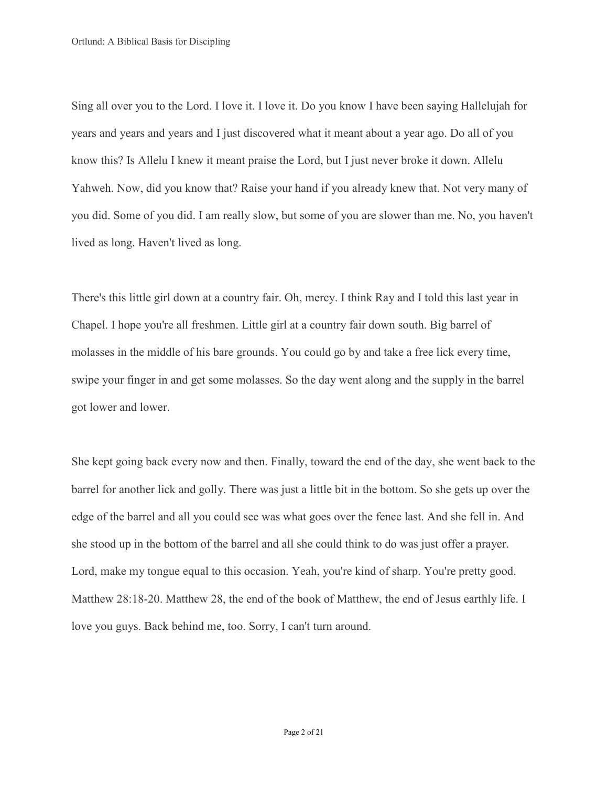Sing all over you to the Lord. I love it. I love it. Do you know I have been saying Hallelujah for years and years and years and I just discovered what it meant about a year ago. Do all of you know this? Is Allelu I knew it meant praise the Lord, but I just never broke it down. Allelu Yahweh. Now, did you know that? Raise your hand if you already knew that. Not very many of you did. Some of you did. I am really slow, but some of you are slower than me. No, you haven't lived as long. Haven't lived as long.

There's this little girl down at a country fair. Oh, mercy. I think Ray and I told this last year in Chapel. I hope you're all freshmen. Little girl at a country fair down south. Big barrel of molasses in the middle of his bare grounds. You could go by and take a free lick every time, swipe your finger in and get some molasses. So the day went along and the supply in the barrel got lower and lower.

She kept going back every now and then. Finally, toward the end of the day, she went back to the barrel for another lick and golly. There was just a little bit in the bottom. So she gets up over the edge of the barrel and all you could see was what goes over the fence last. And she fell in. And she stood up in the bottom of the barrel and all she could think to do was just offer a prayer. Lord, make my tongue equal to this occasion. Yeah, you're kind of sharp. You're pretty good. Matthew 28:18-20. Matthew 28, the end of the book of Matthew, the end of Jesus earthly life. I love you guys. Back behind me, too. Sorry, I can't turn around.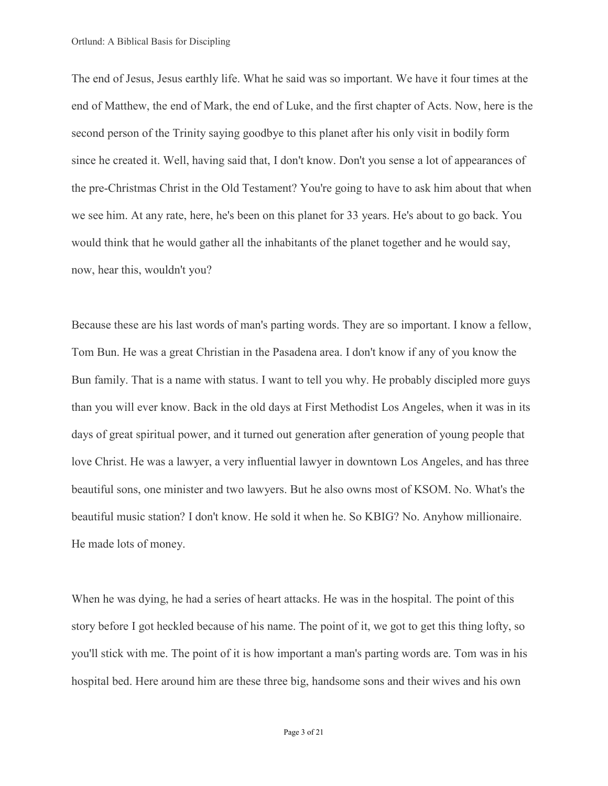The end of Jesus, Jesus earthly life. What he said was so important. We have it four times at the end of Matthew, the end of Mark, the end of Luke, and the first chapter of Acts. Now, here is the second person of the Trinity saying goodbye to this planet after his only visit in bodily form since he created it. Well, having said that, I don't know. Don't you sense a lot of appearances of the pre-Christmas Christ in the Old Testament? You're going to have to ask him about that when we see him. At any rate, here, he's been on this planet for 33 years. He's about to go back. You would think that he would gather all the inhabitants of the planet together and he would say, now, hear this, wouldn't you?

Because these are his last words of man's parting words. They are so important. I know a fellow, Tom Bun. He was a great Christian in the Pasadena area. I don't know if any of you know the Bun family. That is a name with status. I want to tell you why. He probably discipled more guys than you will ever know. Back in the old days at First Methodist Los Angeles, when it was in its days of great spiritual power, and it turned out generation after generation of young people that love Christ. He was a lawyer, a very influential lawyer in downtown Los Angeles, and has three beautiful sons, one minister and two lawyers. But he also owns most of KSOM. No. What's the beautiful music station? I don't know. He sold it when he. So KBIG? No. Anyhow millionaire. He made lots of money.

When he was dying, he had a series of heart attacks. He was in the hospital. The point of this story before I got heckled because of his name. The point of it, we got to get this thing lofty, so you'll stick with me. The point of it is how important a man's parting words are. Tom was in his hospital bed. Here around him are these three big, handsome sons and their wives and his own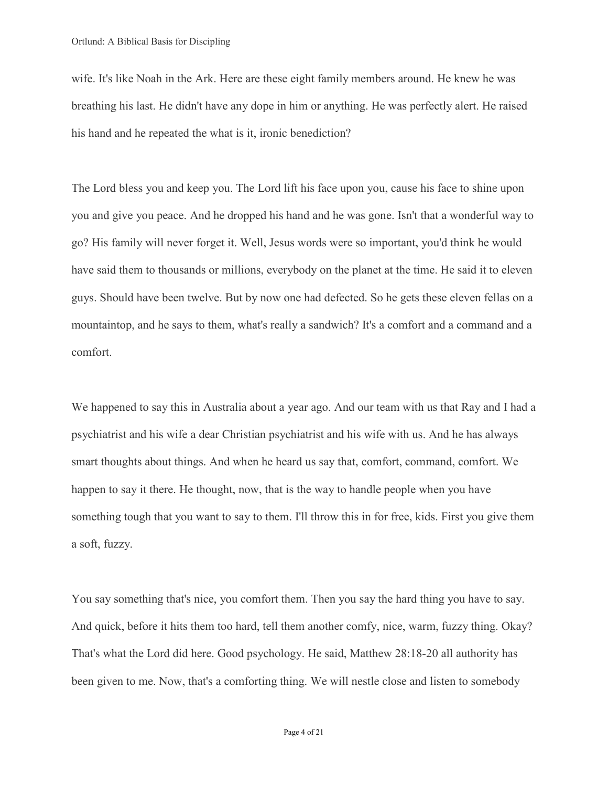wife. It's like Noah in the Ark. Here are these eight family members around. He knew he was breathing his last. He didn't have any dope in him or anything. He was perfectly alert. He raised his hand and he repeated the what is it, ironic benediction?

The Lord bless you and keep you. The Lord lift his face upon you, cause his face to shine upon you and give you peace. And he dropped his hand and he was gone. Isn't that a wonderful way to go? His family will never forget it. Well, Jesus words were so important, you'd think he would have said them to thousands or millions, everybody on the planet at the time. He said it to eleven guys. Should have been twelve. But by now one had defected. So he gets these eleven fellas on a mountaintop, and he says to them, what's really a sandwich? It's a comfort and a command and a comfort.

We happened to say this in Australia about a year ago. And our team with us that Ray and I had a psychiatrist and his wife a dear Christian psychiatrist and his wife with us. And he has always smart thoughts about things. And when he heard us say that, comfort, command, comfort. We happen to say it there. He thought, now, that is the way to handle people when you have something tough that you want to say to them. I'll throw this in for free, kids. First you give them a soft, fuzzy.

You say something that's nice, you comfort them. Then you say the hard thing you have to say. And quick, before it hits them too hard, tell them another comfy, nice, warm, fuzzy thing. Okay? That's what the Lord did here. Good psychology. He said, Matthew 28:18-20 all authority has been given to me. Now, that's a comforting thing. We will nestle close and listen to somebody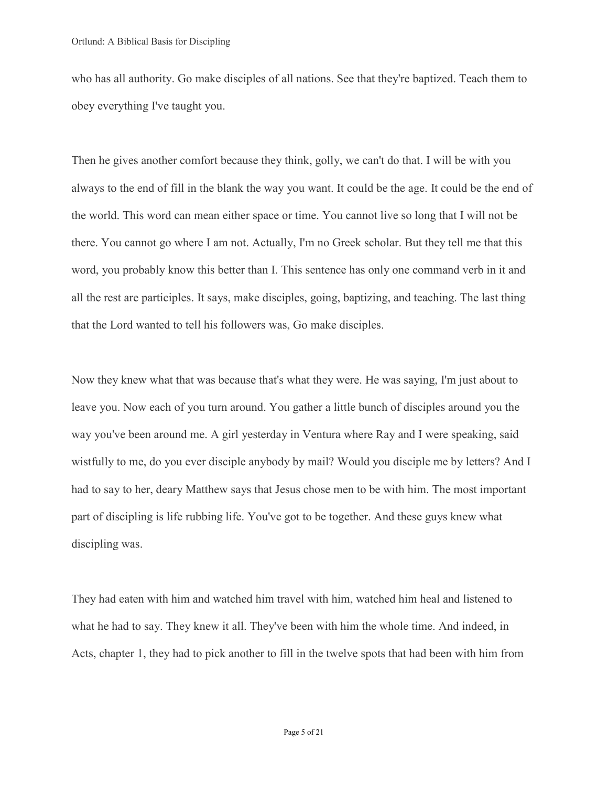who has all authority. Go make disciples of all nations. See that they're baptized. Teach them to obey everything I've taught you.

Then he gives another comfort because they think, golly, we can't do that. I will be with you always to the end of fill in the blank the way you want. It could be the age. It could be the end of the world. This word can mean either space or time. You cannot live so long that I will not be there. You cannot go where I am not. Actually, I'm no Greek scholar. But they tell me that this word, you probably know this better than I. This sentence has only one command verb in it and all the rest are participles. It says, make disciples, going, baptizing, and teaching. The last thing that the Lord wanted to tell his followers was, Go make disciples.

Now they knew what that was because that's what they were. He was saying, I'm just about to leave you. Now each of you turn around. You gather a little bunch of disciples around you the way you've been around me. A girl yesterday in Ventura where Ray and I were speaking, said wistfully to me, do you ever disciple anybody by mail? Would you disciple me by letters? And I had to say to her, deary Matthew says that Jesus chose men to be with him. The most important part of discipling is life rubbing life. You've got to be together. And these guys knew what discipling was.

They had eaten with him and watched him travel with him, watched him heal and listened to what he had to say. They knew it all. They've been with him the whole time. And indeed, in Acts, chapter 1, they had to pick another to fill in the twelve spots that had been with him from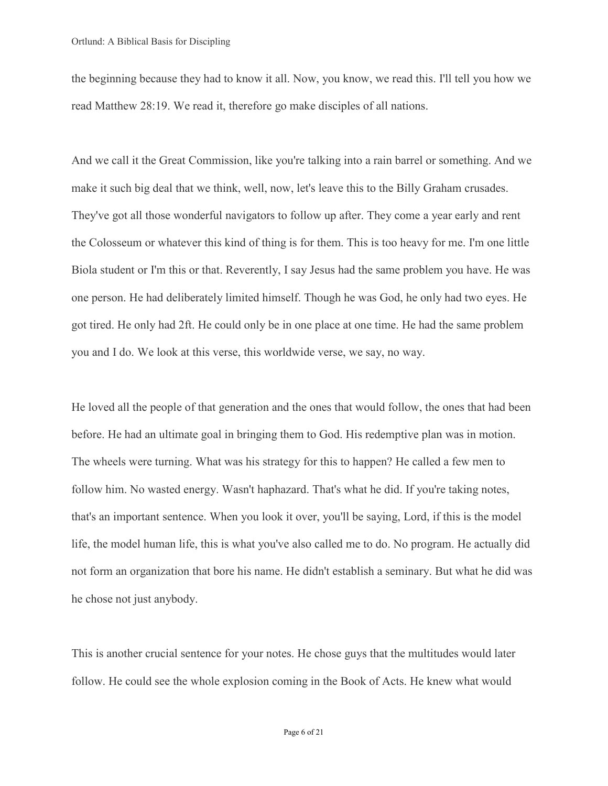the beginning because they had to know it all. Now, you know, we read this. I'll tell you how we read Matthew 28:19. We read it, therefore go make disciples of all nations.

And we call it the Great Commission, like you're talking into a rain barrel or something. And we make it such big deal that we think, well, now, let's leave this to the Billy Graham crusades. They've got all those wonderful navigators to follow up after. They come a year early and rent the Colosseum or whatever this kind of thing is for them. This is too heavy for me. I'm one little Biola student or I'm this or that. Reverently, I say Jesus had the same problem you have. He was one person. He had deliberately limited himself. Though he was God, he only had two eyes. He got tired. He only had 2ft. He could only be in one place at one time. He had the same problem you and I do. We look at this verse, this worldwide verse, we say, no way.

He loved all the people of that generation and the ones that would follow, the ones that had been before. He had an ultimate goal in bringing them to God. His redemptive plan was in motion. The wheels were turning. What was his strategy for this to happen? He called a few men to follow him. No wasted energy. Wasn't haphazard. That's what he did. If you're taking notes, that's an important sentence. When you look it over, you'll be saying, Lord, if this is the model life, the model human life, this is what you've also called me to do. No program. He actually did not form an organization that bore his name. He didn't establish a seminary. But what he did was he chose not just anybody.

This is another crucial sentence for your notes. He chose guys that the multitudes would later follow. He could see the whole explosion coming in the Book of Acts. He knew what would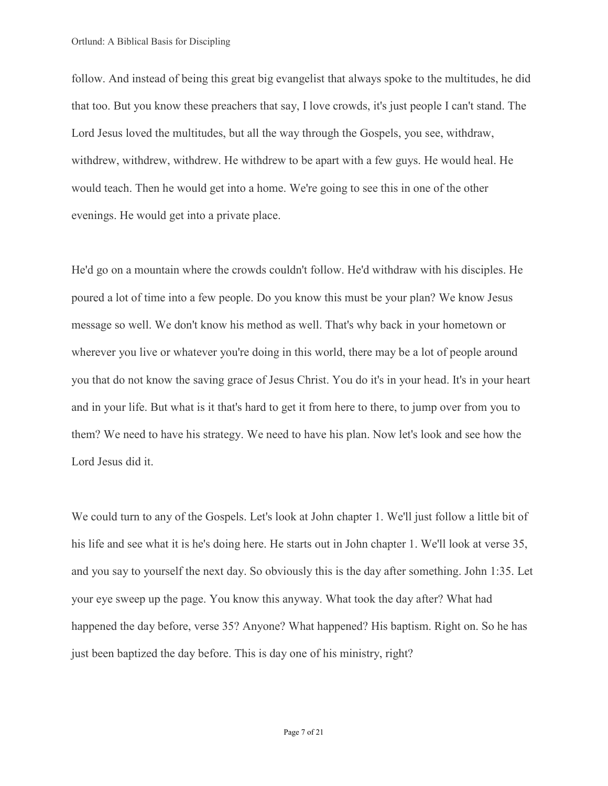follow. And instead of being this great big evangelist that always spoke to the multitudes, he did that too. But you know these preachers that say, I love crowds, it's just people I can't stand. The Lord Jesus loved the multitudes, but all the way through the Gospels, you see, withdraw, withdrew, withdrew, withdrew. He withdrew to be apart with a few guys. He would heal. He would teach. Then he would get into a home. We're going to see this in one of the other evenings. He would get into a private place.

He'd go on a mountain where the crowds couldn't follow. He'd withdraw with his disciples. He poured a lot of time into a few people. Do you know this must be your plan? We know Jesus message so well. We don't know his method as well. That's why back in your hometown or wherever you live or whatever you're doing in this world, there may be a lot of people around you that do not know the saving grace of Jesus Christ. You do it's in your head. It's in your heart and in your life. But what is it that's hard to get it from here to there, to jump over from you to them? We need to have his strategy. We need to have his plan. Now let's look and see how the Lord Jesus did it.

We could turn to any of the Gospels. Let's look at John chapter 1. We'll just follow a little bit of his life and see what it is he's doing here. He starts out in John chapter 1. We'll look at verse 35, and you say to yourself the next day. So obviously this is the day after something. John 1:35. Let your eye sweep up the page. You know this anyway. What took the day after? What had happened the day before, verse 35? Anyone? What happened? His baptism. Right on. So he has just been baptized the day before. This is day one of his ministry, right?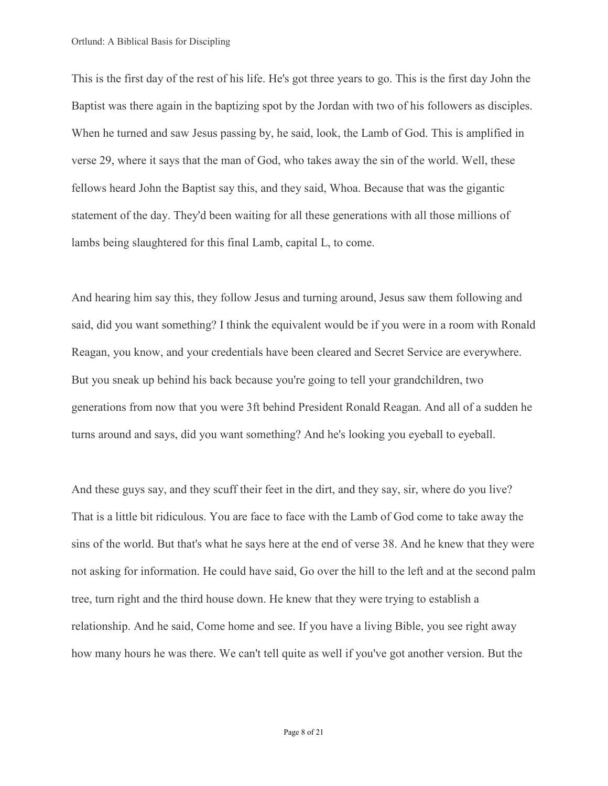This is the first day of the rest of his life. He's got three years to go. This is the first day John the Baptist was there again in the baptizing spot by the Jordan with two of his followers as disciples. When he turned and saw Jesus passing by, he said, look, the Lamb of God. This is amplified in verse 29, where it says that the man of God, who takes away the sin of the world. Well, these fellows heard John the Baptist say this, and they said, Whoa. Because that was the gigantic statement of the day. They'd been waiting for all these generations with all those millions of lambs being slaughtered for this final Lamb, capital L, to come.

And hearing him say this, they follow Jesus and turning around, Jesus saw them following and said, did you want something? I think the equivalent would be if you were in a room with Ronald Reagan, you know, and your credentials have been cleared and Secret Service are everywhere. But you sneak up behind his back because you're going to tell your grandchildren, two generations from now that you were 3ft behind President Ronald Reagan. And all of a sudden he turns around and says, did you want something? And he's looking you eyeball to eyeball.

And these guys say, and they scuff their feet in the dirt, and they say, sir, where do you live? That is a little bit ridiculous. You are face to face with the Lamb of God come to take away the sins of the world. But that's what he says here at the end of verse 38. And he knew that they were not asking for information. He could have said, Go over the hill to the left and at the second palm tree, turn right and the third house down. He knew that they were trying to establish a relationship. And he said, Come home and see. If you have a living Bible, you see right away how many hours he was there. We can't tell quite as well if you've got another version. But the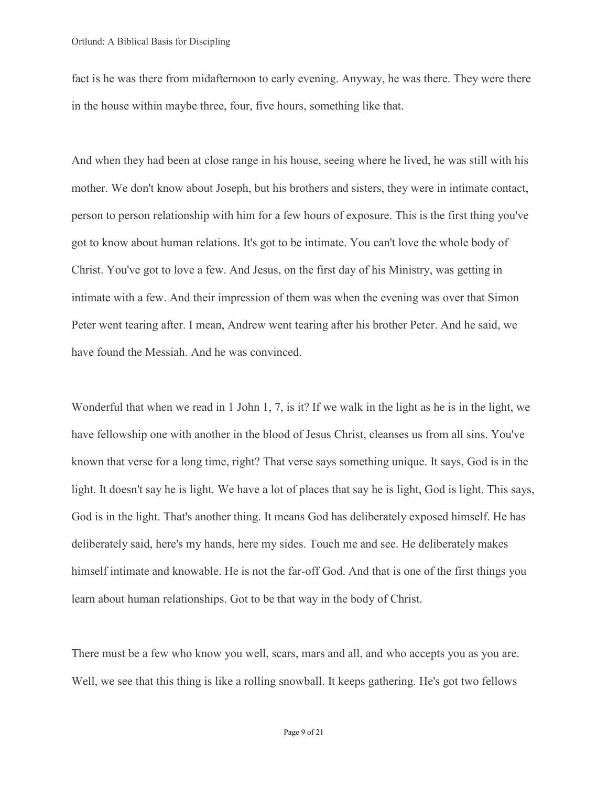fact is he was there from midafternoon to early evening. Anyway, he was there. They were there in the house within maybe three, four, five hours, something like that.

And when they had been at close range in his house, seeing where he lived, he was still with his mother. We don't know about Joseph, but his brothers and sisters, they were in intimate contact, person to person relationship with him for a few hours of exposure. This is the first thing you've got to know about human relations. It's got to be intimate. You can't love the whole body of Christ. You've got to love a few. And Jesus, on the first day of his Ministry, was getting in intimate with a few. And their impression of them was when the evening was over that Simon Peter went tearing after. I mean, Andrew went tearing after his brother Peter. And he said, we have found the Messiah. And he was convinced.

Wonderful that when we read in 1 John 1, 7, is it? If we walk in the light as he is in the light, we have fellowship one with another in the blood of Jesus Christ, cleanses us from all sins. You've known that verse for a long time, right? That verse says something unique. It says, God is in the light. It doesn't say he is light. We have a lot of places that say he is light, God is light. This says, God is in the light. That's another thing. It means God has deliberately exposed himself. He has deliberately said, here's my hands, here my sides. Touch me and see. He deliberately makes himself intimate and knowable. He is not the far-off God. And that is one of the first things you learn about human relationships. Got to be that way in the body of Christ.

There must be a few who know you well, scars, mars and all, and who accepts you as you are. Well, we see that this thing is like a rolling snowball. It keeps gathering. He's got two fellows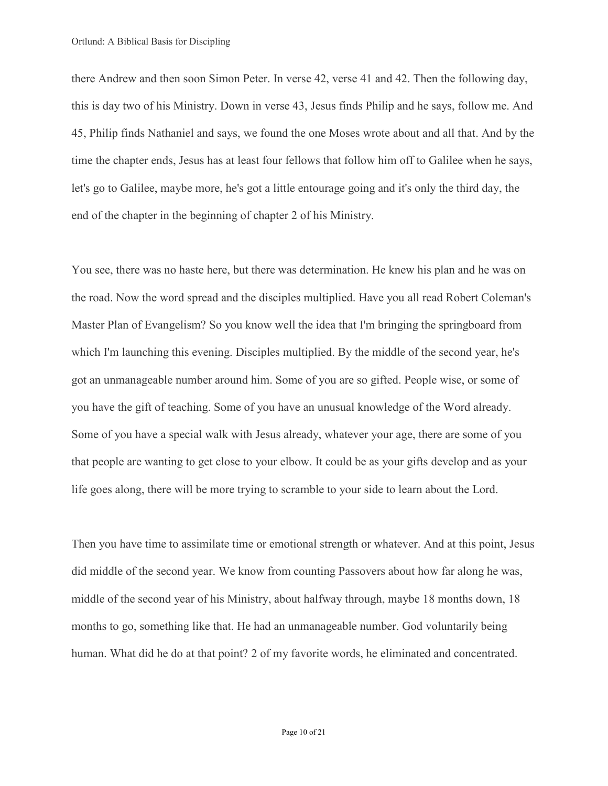there Andrew and then soon Simon Peter. In verse 42, verse 41 and 42. Then the following day, this is day two of his Ministry. Down in verse 43, Jesus finds Philip and he says, follow me. And 45, Philip finds Nathaniel and says, we found the one Moses wrote about and all that. And by the time the chapter ends, Jesus has at least four fellows that follow him off to Galilee when he says, let's go to Galilee, maybe more, he's got a little entourage going and it's only the third day, the end of the chapter in the beginning of chapter 2 of his Ministry.

You see, there was no haste here, but there was determination. He knew his plan and he was on the road. Now the word spread and the disciples multiplied. Have you all read Robert Coleman's Master Plan of Evangelism? So you know well the idea that I'm bringing the springboard from which I'm launching this evening. Disciples multiplied. By the middle of the second year, he's got an unmanageable number around him. Some of you are so gifted. People wise, or some of you have the gift of teaching. Some of you have an unusual knowledge of the Word already. Some of you have a special walk with Jesus already, whatever your age, there are some of you that people are wanting to get close to your elbow. It could be as your gifts develop and as your life goes along, there will be more trying to scramble to your side to learn about the Lord.

Then you have time to assimilate time or emotional strength or whatever. And at this point, Jesus did middle of the second year. We know from counting Passovers about how far along he was, middle of the second year of his Ministry, about halfway through, maybe 18 months down, 18 months to go, something like that. He had an unmanageable number. God voluntarily being human. What did he do at that point? 2 of my favorite words, he eliminated and concentrated.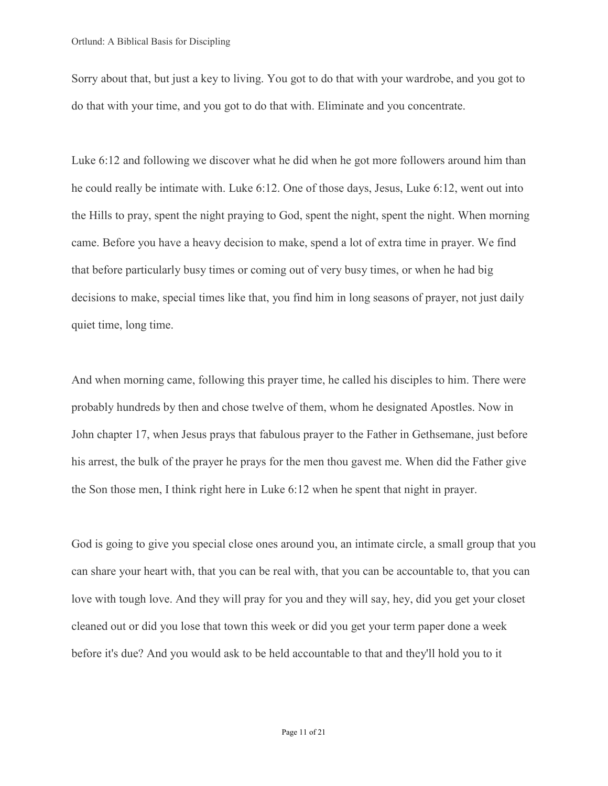Sorry about that, but just a key to living. You got to do that with your wardrobe, and you got to do that with your time, and you got to do that with. Eliminate and you concentrate.

Luke 6:12 and following we discover what he did when he got more followers around him than he could really be intimate with. Luke 6:12. One of those days, Jesus, Luke 6:12, went out into the Hills to pray, spent the night praying to God, spent the night, spent the night. When morning came. Before you have a heavy decision to make, spend a lot of extra time in prayer. We find that before particularly busy times or coming out of very busy times, or when he had big decisions to make, special times like that, you find him in long seasons of prayer, not just daily quiet time, long time.

And when morning came, following this prayer time, he called his disciples to him. There were probably hundreds by then and chose twelve of them, whom he designated Apostles. Now in John chapter 17, when Jesus prays that fabulous prayer to the Father in Gethsemane, just before his arrest, the bulk of the prayer he prays for the men thou gavest me. When did the Father give the Son those men, I think right here in Luke 6:12 when he spent that night in prayer.

God is going to give you special close ones around you, an intimate circle, a small group that you can share your heart with, that you can be real with, that you can be accountable to, that you can love with tough love. And they will pray for you and they will say, hey, did you get your closet cleaned out or did you lose that town this week or did you get your term paper done a week before it's due? And you would ask to be held accountable to that and they'll hold you to it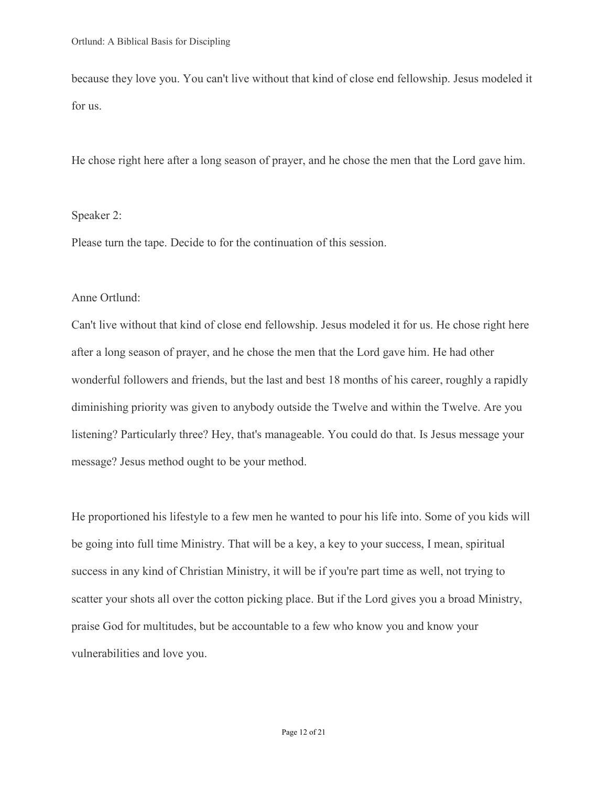because they love you. You can't live without that kind of close end fellowship. Jesus modeled it for us.

He chose right here after a long season of prayer, and he chose the men that the Lord gave him.

## Speaker 2:

Please turn the tape. Decide to for the continuation of this session.

## Anne Ortlund:

Can't live without that kind of close end fellowship. Jesus modeled it for us. He chose right here after a long season of prayer, and he chose the men that the Lord gave him. He had other wonderful followers and friends, but the last and best 18 months of his career, roughly a rapidly diminishing priority was given to anybody outside the Twelve and within the Twelve. Are you listening? Particularly three? Hey, that's manageable. You could do that. Is Jesus message your message? Jesus method ought to be your method.

He proportioned his lifestyle to a few men he wanted to pour his life into. Some of you kids will be going into full time Ministry. That will be a key, a key to your success, I mean, spiritual success in any kind of Christian Ministry, it will be if you're part time as well, not trying to scatter your shots all over the cotton picking place. But if the Lord gives you a broad Ministry, praise God for multitudes, but be accountable to a few who know you and know your vulnerabilities and love you.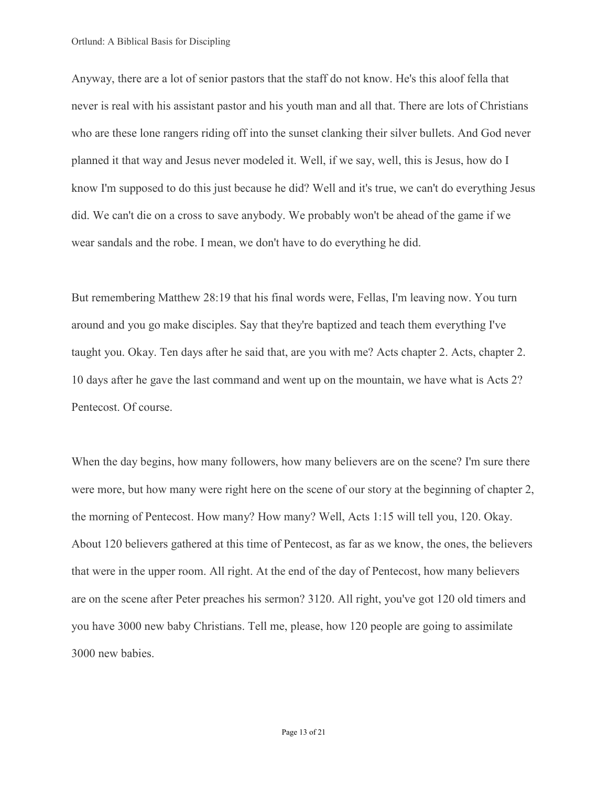Anyway, there are a lot of senior pastors that the staff do not know. He's this aloof fella that never is real with his assistant pastor and his youth man and all that. There are lots of Christians who are these lone rangers riding off into the sunset clanking their silver bullets. And God never planned it that way and Jesus never modeled it. Well, if we say, well, this is Jesus, how do I know I'm supposed to do this just because he did? Well and it's true, we can't do everything Jesus did. We can't die on a cross to save anybody. We probably won't be ahead of the game if we wear sandals and the robe. I mean, we don't have to do everything he did.

But remembering Matthew 28:19 that his final words were, Fellas, I'm leaving now. You turn around and you go make disciples. Say that they're baptized and teach them everything I've taught you. Okay. Ten days after he said that, are you with me? Acts chapter 2. Acts, chapter 2. 10 days after he gave the last command and went up on the mountain, we have what is Acts 2? Pentecost. Of course.

When the day begins, how many followers, how many believers are on the scene? I'm sure there were more, but how many were right here on the scene of our story at the beginning of chapter 2, the morning of Pentecost. How many? How many? Well, Acts 1:15 will tell you, 120. Okay. About 120 believers gathered at this time of Pentecost, as far as we know, the ones, the believers that were in the upper room. All right. At the end of the day of Pentecost, how many believers are on the scene after Peter preaches his sermon? 3120. All right, you've got 120 old timers and you have 3000 new baby Christians. Tell me, please, how 120 people are going to assimilate 3000 new babies.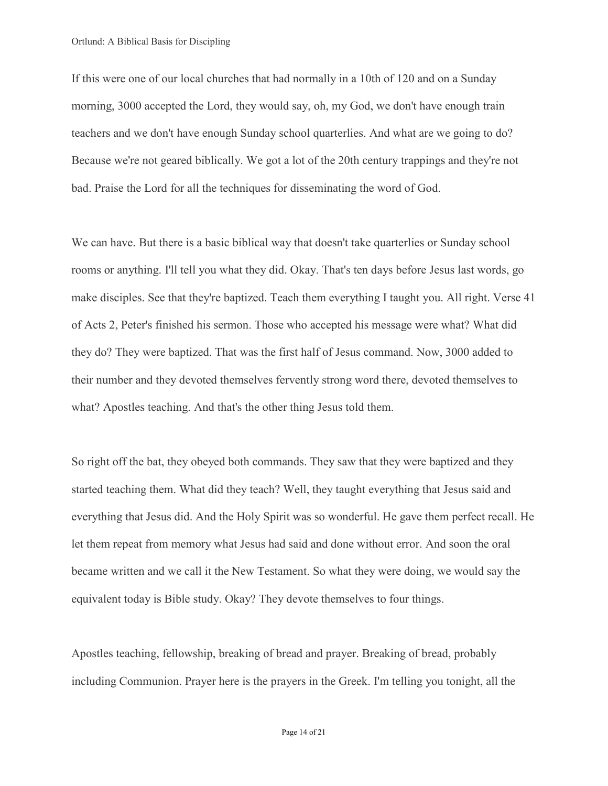If this were one of our local churches that had normally in a 10th of 120 and on a Sunday morning, 3000 accepted the Lord, they would say, oh, my God, we don't have enough train teachers and we don't have enough Sunday school quarterlies. And what are we going to do? Because we're not geared biblically. We got a lot of the 20th century trappings and they're not bad. Praise the Lord for all the techniques for disseminating the word of God.

We can have. But there is a basic biblical way that doesn't take quarterlies or Sunday school rooms or anything. I'll tell you what they did. Okay. That's ten days before Jesus last words, go make disciples. See that they're baptized. Teach them everything I taught you. All right. Verse 41 of Acts 2, Peter's finished his sermon. Those who accepted his message were what? What did they do? They were baptized. That was the first half of Jesus command. Now, 3000 added to their number and they devoted themselves fervently strong word there, devoted themselves to what? Apostles teaching. And that's the other thing Jesus told them.

So right off the bat, they obeyed both commands. They saw that they were baptized and they started teaching them. What did they teach? Well, they taught everything that Jesus said and everything that Jesus did. And the Holy Spirit was so wonderful. He gave them perfect recall. He let them repeat from memory what Jesus had said and done without error. And soon the oral became written and we call it the New Testament. So what they were doing, we would say the equivalent today is Bible study. Okay? They devote themselves to four things.

Apostles teaching, fellowship, breaking of bread and prayer. Breaking of bread, probably including Communion. Prayer here is the prayers in the Greek. I'm telling you tonight, all the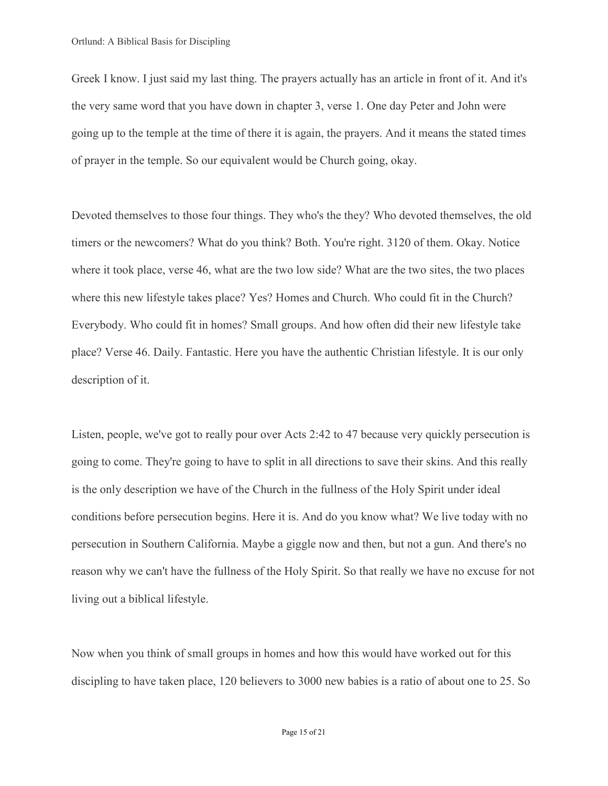Greek I know. I just said my last thing. The prayers actually has an article in front of it. And it's the very same word that you have down in chapter 3, verse 1. One day Peter and John were going up to the temple at the time of there it is again, the prayers. And it means the stated times of prayer in the temple. So our equivalent would be Church going, okay.

Devoted themselves to those four things. They who's the they? Who devoted themselves, the old timers or the newcomers? What do you think? Both. You're right. 3120 of them. Okay. Notice where it took place, verse 46, what are the two low side? What are the two sites, the two places where this new lifestyle takes place? Yes? Homes and Church. Who could fit in the Church? Everybody. Who could fit in homes? Small groups. And how often did their new lifestyle take place? Verse 46. Daily. Fantastic. Here you have the authentic Christian lifestyle. It is our only description of it.

Listen, people, we've got to really pour over Acts 2:42 to 47 because very quickly persecution is going to come. They're going to have to split in all directions to save their skins. And this really is the only description we have of the Church in the fullness of the Holy Spirit under ideal conditions before persecution begins. Here it is. And do you know what? We live today with no persecution in Southern California. Maybe a giggle now and then, but not a gun. And there's no reason why we can't have the fullness of the Holy Spirit. So that really we have no excuse for not living out a biblical lifestyle.

Now when you think of small groups in homes and how this would have worked out for this discipling to have taken place, 120 believers to 3000 new babies is a ratio of about one to 25. So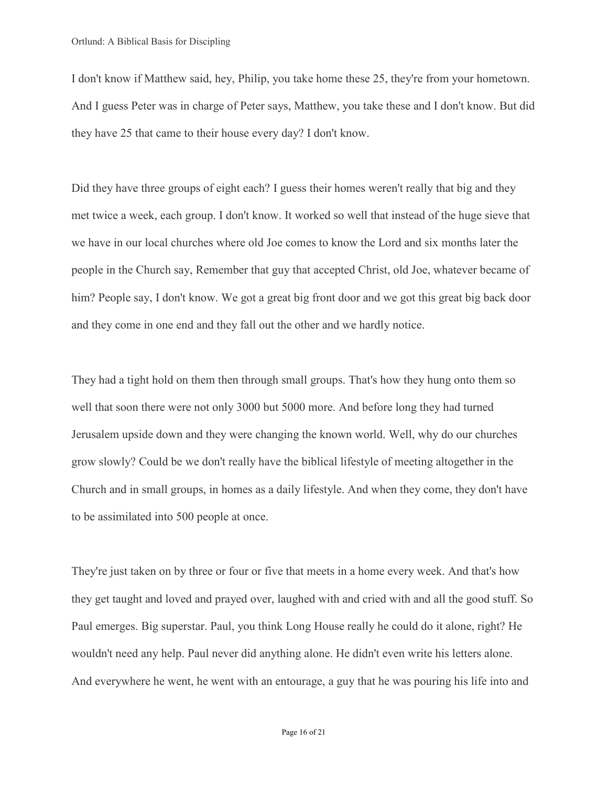I don't know if Matthew said, hey, Philip, you take home these 25, they're from your hometown. And I guess Peter was in charge of Peter says, Matthew, you take these and I don't know. But did they have 25 that came to their house every day? I don't know.

Did they have three groups of eight each? I guess their homes weren't really that big and they met twice a week, each group. I don't know. It worked so well that instead of the huge sieve that we have in our local churches where old Joe comes to know the Lord and six months later the people in the Church say, Remember that guy that accepted Christ, old Joe, whatever became of him? People say, I don't know. We got a great big front door and we got this great big back door and they come in one end and they fall out the other and we hardly notice.

They had a tight hold on them then through small groups. That's how they hung onto them so well that soon there were not only 3000 but 5000 more. And before long they had turned Jerusalem upside down and they were changing the known world. Well, why do our churches grow slowly? Could be we don't really have the biblical lifestyle of meeting altogether in the Church and in small groups, in homes as a daily lifestyle. And when they come, they don't have to be assimilated into 500 people at once.

They're just taken on by three or four or five that meets in a home every week. And that's how they get taught and loved and prayed over, laughed with and cried with and all the good stuff. So Paul emerges. Big superstar. Paul, you think Long House really he could do it alone, right? He wouldn't need any help. Paul never did anything alone. He didn't even write his letters alone. And everywhere he went, he went with an entourage, a guy that he was pouring his life into and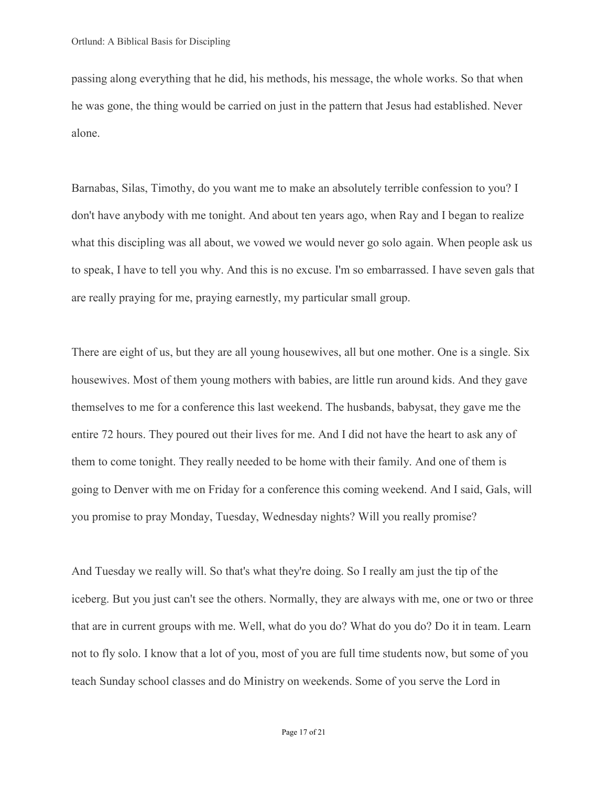passing along everything that he did, his methods, his message, the whole works. So that when he was gone, the thing would be carried on just in the pattern that Jesus had established. Never alone.

Barnabas, Silas, Timothy, do you want me to make an absolutely terrible confession to you? I don't have anybody with me tonight. And about ten years ago, when Ray and I began to realize what this discipling was all about, we vowed we would never go solo again. When people ask us to speak, I have to tell you why. And this is no excuse. I'm so embarrassed. I have seven gals that are really praying for me, praying earnestly, my particular small group.

There are eight of us, but they are all young housewives, all but one mother. One is a single. Six housewives. Most of them young mothers with babies, are little run around kids. And they gave themselves to me for a conference this last weekend. The husbands, babysat, they gave me the entire 72 hours. They poured out their lives for me. And I did not have the heart to ask any of them to come tonight. They really needed to be home with their family. And one of them is going to Denver with me on Friday for a conference this coming weekend. And I said, Gals, will you promise to pray Monday, Tuesday, Wednesday nights? Will you really promise?

And Tuesday we really will. So that's what they're doing. So I really am just the tip of the iceberg. But you just can't see the others. Normally, they are always with me, one or two or three that are in current groups with me. Well, what do you do? What do you do? Do it in team. Learn not to fly solo. I know that a lot of you, most of you are full time students now, but some of you teach Sunday school classes and do Ministry on weekends. Some of you serve the Lord in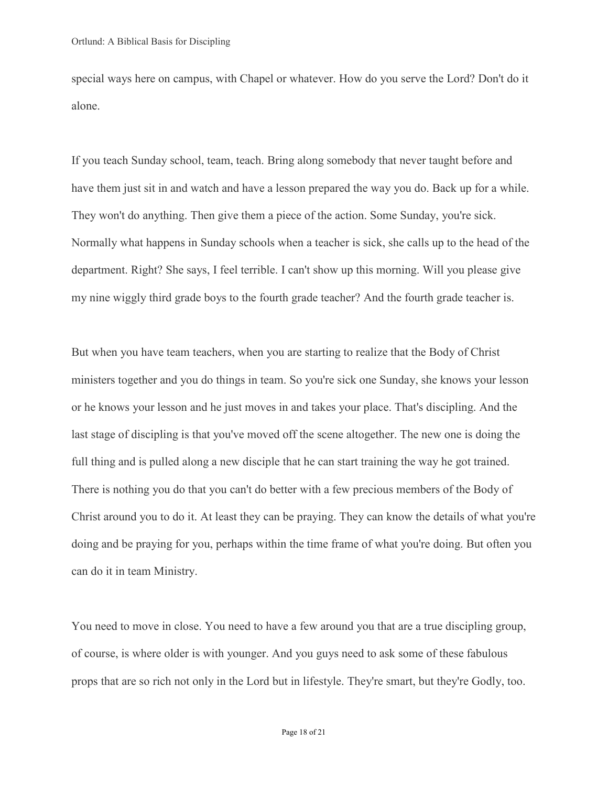special ways here on campus, with Chapel or whatever. How do you serve the Lord? Don't do it alone.

If you teach Sunday school, team, teach. Bring along somebody that never taught before and have them just sit in and watch and have a lesson prepared the way you do. Back up for a while. They won't do anything. Then give them a piece of the action. Some Sunday, you're sick. Normally what happens in Sunday schools when a teacher is sick, she calls up to the head of the department. Right? She says, I feel terrible. I can't show up this morning. Will you please give my nine wiggly third grade boys to the fourth grade teacher? And the fourth grade teacher is.

But when you have team teachers, when you are starting to realize that the Body of Christ ministers together and you do things in team. So you're sick one Sunday, she knows your lesson or he knows your lesson and he just moves in and takes your place. That's discipling. And the last stage of discipling is that you've moved off the scene altogether. The new one is doing the full thing and is pulled along a new disciple that he can start training the way he got trained. There is nothing you do that you can't do better with a few precious members of the Body of Christ around you to do it. At least they can be praying. They can know the details of what you're doing and be praying for you, perhaps within the time frame of what you're doing. But often you can do it in team Ministry.

You need to move in close. You need to have a few around you that are a true discipling group, of course, is where older is with younger. And you guys need to ask some of these fabulous props that are so rich not only in the Lord but in lifestyle. They're smart, but they're Godly, too.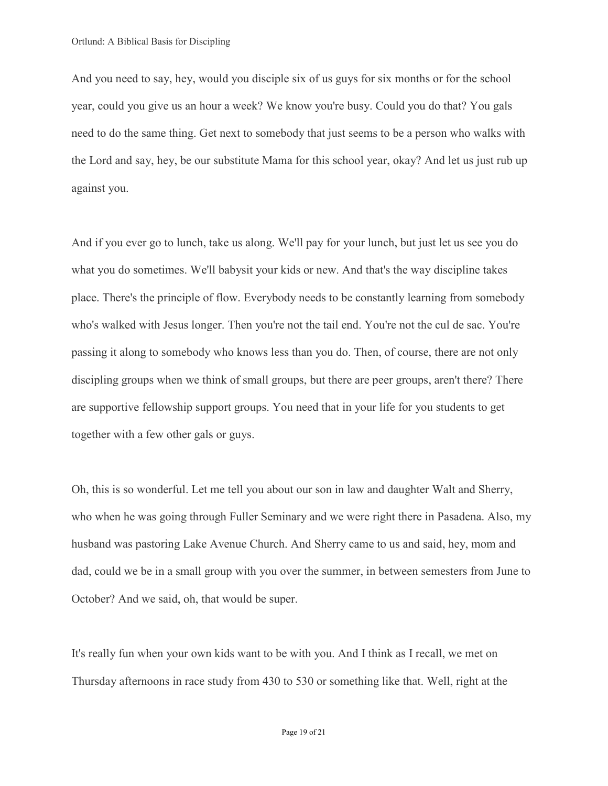And you need to say, hey, would you disciple six of us guys for six months or for the school year, could you give us an hour a week? We know you're busy. Could you do that? You gals need to do the same thing. Get next to somebody that just seems to be a person who walks with the Lord and say, hey, be our substitute Mama for this school year, okay? And let us just rub up against you.

And if you ever go to lunch, take us along. We'll pay for your lunch, but just let us see you do what you do sometimes. We'll babysit your kids or new. And that's the way discipline takes place. There's the principle of flow. Everybody needs to be constantly learning from somebody who's walked with Jesus longer. Then you're not the tail end. You're not the cul de sac. You're passing it along to somebody who knows less than you do. Then, of course, there are not only discipling groups when we think of small groups, but there are peer groups, aren't there? There are supportive fellowship support groups. You need that in your life for you students to get together with a few other gals or guys.

Oh, this is so wonderful. Let me tell you about our son in law and daughter Walt and Sherry, who when he was going through Fuller Seminary and we were right there in Pasadena. Also, my husband was pastoring Lake Avenue Church. And Sherry came to us and said, hey, mom and dad, could we be in a small group with you over the summer, in between semesters from June to October? And we said, oh, that would be super.

It's really fun when your own kids want to be with you. And I think as I recall, we met on Thursday afternoons in race study from 430 to 530 or something like that. Well, right at the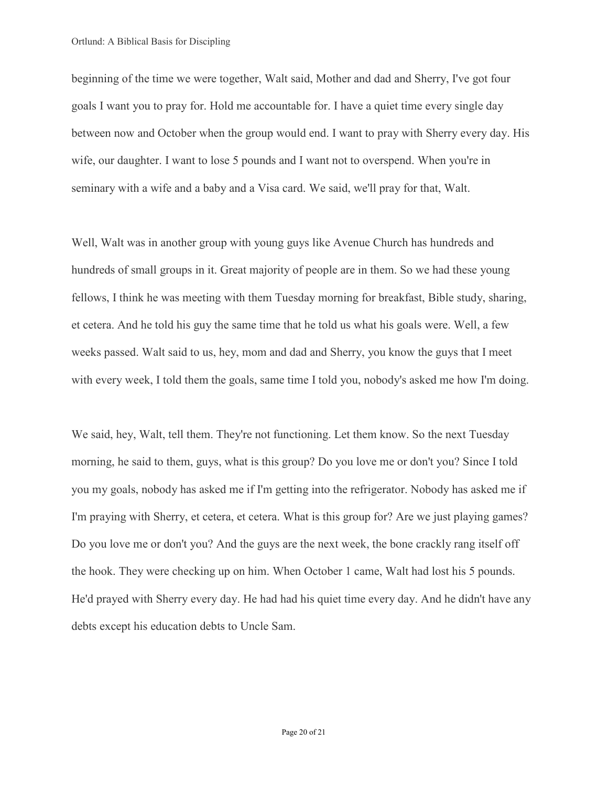beginning of the time we were together, Walt said, Mother and dad and Sherry, I've got four goals I want you to pray for. Hold me accountable for. I have a quiet time every single day between now and October when the group would end. I want to pray with Sherry every day. His wife, our daughter. I want to lose 5 pounds and I want not to overspend. When you're in seminary with a wife and a baby and a Visa card. We said, we'll pray for that, Walt.

Well, Walt was in another group with young guys like Avenue Church has hundreds and hundreds of small groups in it. Great majority of people are in them. So we had these young fellows, I think he was meeting with them Tuesday morning for breakfast, Bible study, sharing, et cetera. And he told his guy the same time that he told us what his goals were. Well, a few weeks passed. Walt said to us, hey, mom and dad and Sherry, you know the guys that I meet with every week, I told them the goals, same time I told you, nobody's asked me how I'm doing.

We said, hey, Walt, tell them. They're not functioning. Let them know. So the next Tuesday morning, he said to them, guys, what is this group? Do you love me or don't you? Since I told you my goals, nobody has asked me if I'm getting into the refrigerator. Nobody has asked me if I'm praying with Sherry, et cetera, et cetera. What is this group for? Are we just playing games? Do you love me or don't you? And the guys are the next week, the bone crackly rang itself off the hook. They were checking up on him. When October 1 came, Walt had lost his 5 pounds. He'd prayed with Sherry every day. He had had his quiet time every day. And he didn't have any debts except his education debts to Uncle Sam.